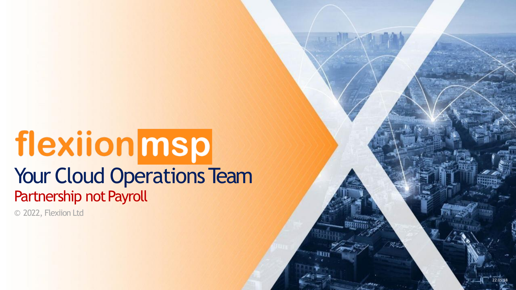# flexiionmsp Your Cloud Operations Team Partnership not Payroll

© 2022, Flexiion Ltd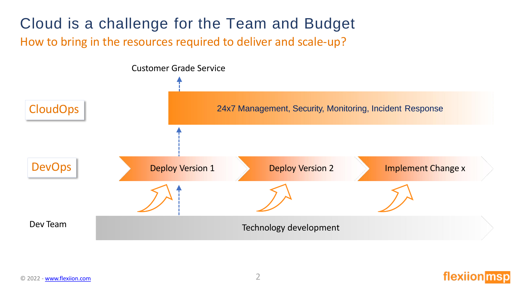## Cloud is a challenge for the Team and Budget How to bring in the resources required to deliver and scale-up?



flexi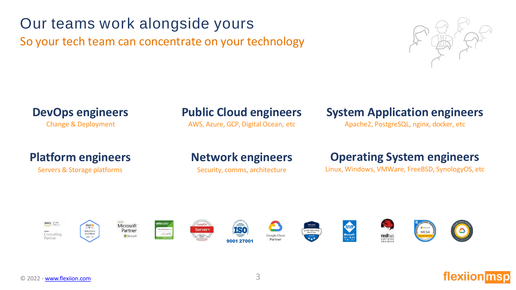#### © 2022 - [www.flexiion.com](http://www.flexiion.com/) 3

aws **PITAN** 

Consulting

Partner



MCSA

#### Microsoft PROTECTIVE Server+ Partner Microsoft















awso

Salations

Architect

### **DevOps engineers Public Cloud engineers System Application engineers**

Change & Deployment **AWS, Azure, GCP, Digital Ocean, etc** Apache2, PostgreSQL, nginx, docker, etc

### **Platform engineers Network engineers Operating System engineers**

Servers & Storage platforms Security, comms, architecture Linux, Windows, VMWare, FreeBSD, SynologyOS, etc

## Our teams work alongside yours

So your tech team can concentrate on your technology

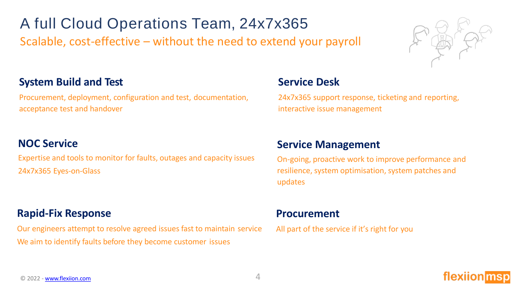A full Cloud Operations Team, 24x7x365 Scalable, cost-effective – without the need to extend your payroll



### **System Build and Test**

Procurement, deployment, configuration and test, documentation, acceptance test and handover

#### **NOC Service**

Expertise and tools to monitor for faults, outages and capacity issues 24x7x365 Eyes-on-Glass

#### **Rapid-Fix Response**

Our engineers attempt to resolve agreed issues fast to maintain service We aim to identify faults before they become customer issues

#### **Service Desk**

24x7x365 support response, ticketing and reporting, interactive issue management

#### **Service Management**

On-going, proactive work to improve performance and resilience, system optimisation, system patches and updates

#### **Procurement**

All part of the service if it's right for you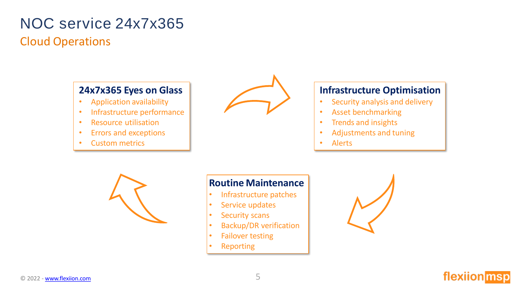## NOC service 24x7x365 Cloud Operations

#### **24x7x365 Eyes on Glass**

- Application availability
- Infrastructure performance
- Resource utilisation
- Errors and exceptions
- Custom metrics



#### **Infrastructure Optimisation**

- Security analysis and delivery
- Asset benchmarking
- Trends and insights
- Adjustments and tuning
- Alerts



#### **Routine Maintenance**

- Infrastructure patches
- Service updates
- Security scans
- Backup/DR verification
- Failover testing
- Reporting

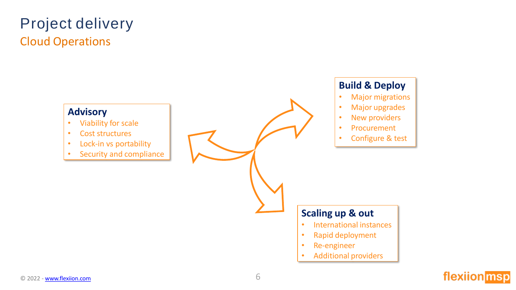## Project delivery Cloud Operations

#### **Advisory**

- Viability for scale
- Cost structures
- Lock-in vs portability
- Security and compliance

#### **Build & Deploy**

- Major migrations
- Major upgrades
- New providers
- Procurement
- Configure & test

#### **Scaling up & out**

- International instances
- Rapid deployment
- Re-engineer
- Additional providers

### flexiion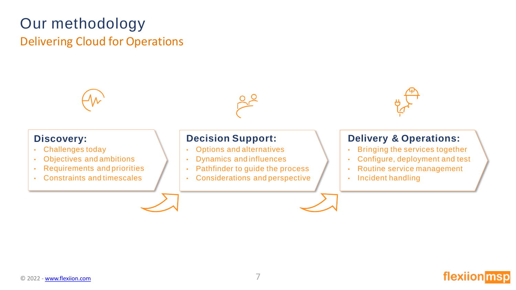## Our methodology

### Delivering Cloud for Operations



flexiion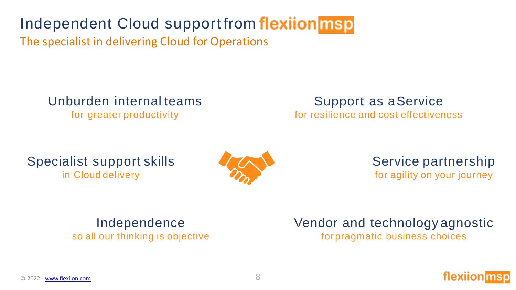Independent Cloud support from flexiion msp

The specialist in delivering Cloud for Operations

Unburden internal teams

for greater productivity

Support as aService for resilience and cost effectiveness

### Specialist support skills in Cloud delivery



Service partnership for agility on your journey

## Independence

so all our thinking is objective

Vendor and technology agnostic for pragmatic business choices